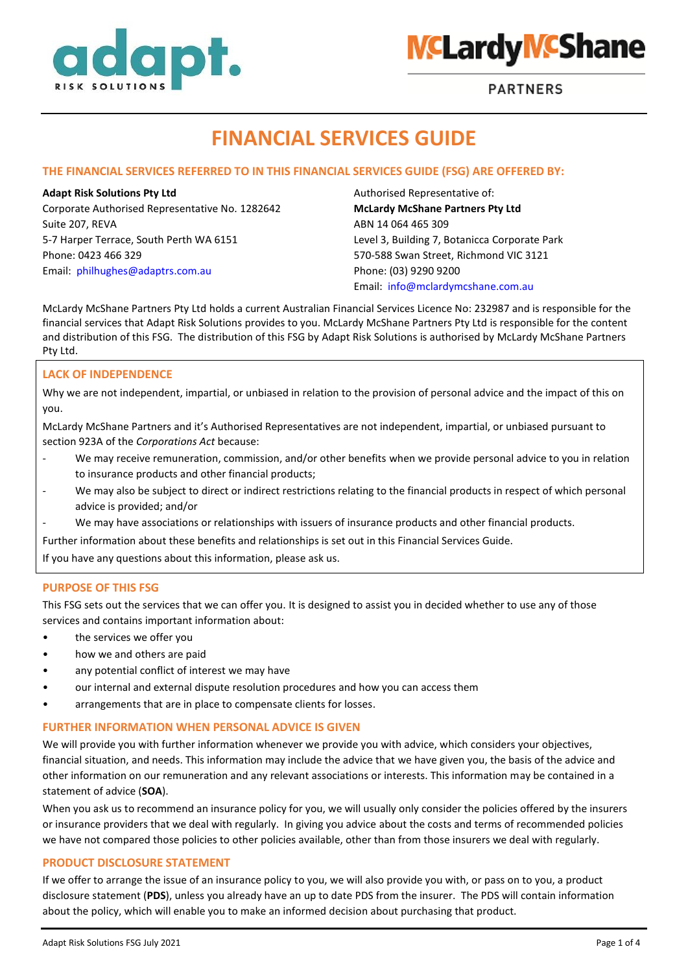



**PARTNERS** 

# **FINANCIAL SERVICES GUIDE**

# **THE FINANCIAL SERVICES REFERRED TO IN THIS FINANCIAL SERVICES GUIDE (FSG) ARE OFFERED BY:**

Corporate Authorised Representative No. 1282642 **McLardy McShane Partners Pty Ltd** Suite 207, REVA **ABN 14 064 465 309** 5-7 Harper Terrace, South Perth WA 6151 Level 3, Building 7, Botanicca Corporate Park Phone: 0423 466 329 570-588 Swan Street, Richmond VIC 3121 Email: [philhughes@adaptrs.com.au](mailto:info@mclardymcshane.com.au) Phone: (03) 9290 9200

**Adapt Risk Solutions Pty Ltd** Authorised Representative of: Email: [info@mclardymcshane.com.au](mailto:info@mclardymcshane.com.au)

McLardy McShane Partners Pty Ltd holds a current Australian Financial Services Licence No: 232987 and is responsible for the financial services that Adapt Risk Solutions provides to you. McLardy McShane Partners Pty Ltd is responsible for the content and distribution of this FSG. The distribution of this FSG by Adapt Risk Solutions is authorised by McLardy McShane Partners Pty Ltd.

### **LACK OF INDEPENDENCE**

Why we are not independent, impartial, or unbiased in relation to the provision of personal advice and the impact of this on you.

McLardy McShane Partners and it's Authorised Representatives are not independent, impartial, or unbiased pursuant to section 923A of the *Corporations Act* because:

- We may receive remuneration, commission, and/or other benefits when we provide personal advice to you in relation to insurance products and other financial products;
- We may also be subject to direct or indirect restrictions relating to the financial products in respect of which personal advice is provided; and/or
- We may have associations or relationships with issuers of insurance products and other financial products.

Further information about these benefits and relationships is set out in this Financial Services Guide.

If you have any questions about this information, please ask us.

#### **PURPOSE OF THIS FSG**

This FSG sets out the services that we can offer you. It is designed to assist you in decided whether to use any of those services and contains important information about:

- the services we offer you
- how we and others are paid
- any potential conflict of interest we may have
- our internal and external dispute resolution procedures and how you can access them
- arrangements that are in place to compensate clients for losses.

### **FURTHER INFORMATION WHEN PERSONAL ADVICE IS GIVEN**

We will provide you with further information whenever we provide you with advice, which considers your objectives, financial situation, and needs. This information may include the advice that we have given you, the basis of the advice and other information on our remuneration and any relevant associations or interests. This information may be contained in a statement of advice (**SOA**).

When you ask us to recommend an insurance policy for you, we will usually only consider the policies offered by the insurers or insurance providers that we deal with regularly. In giving you advice about the costs and terms of recommended policies we have not compared those policies to other policies available, other than from those insurers we deal with regularly.

#### **PRODUCT DISCLOSURE STATEMENT**

If we offer to arrange the issue of an insurance policy to you, we will also provide you with, or pass on to you, a product disclosure statement (**PDS**), unless you already have an up to date PDS from the insurer. The PDS will contain information about the policy, which will enable you to make an informed decision about purchasing that product.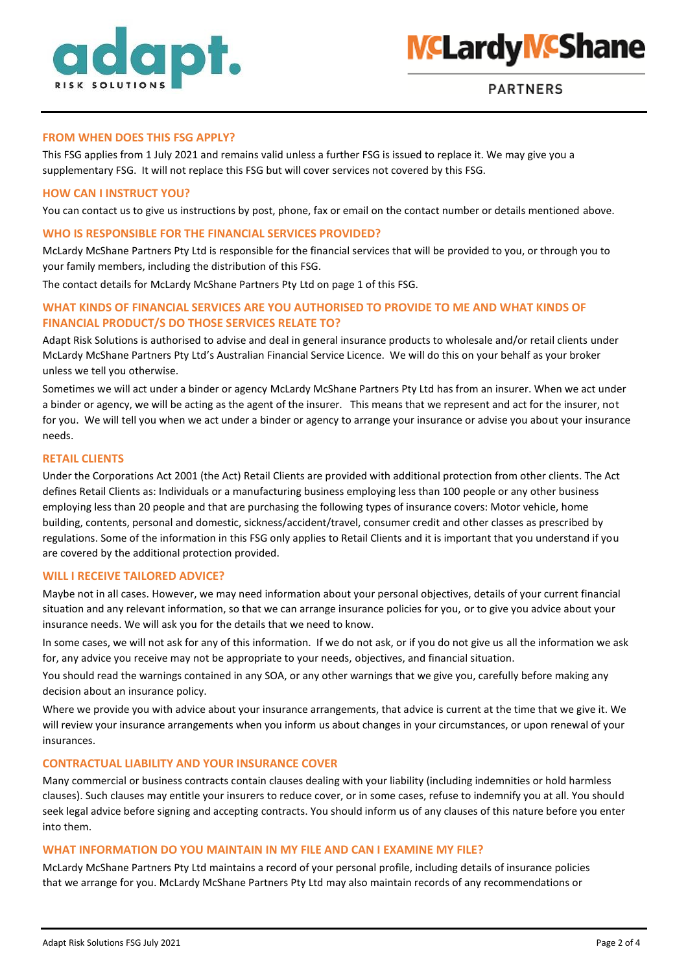



# **FROM WHEN DOES THIS FSG APPLY?**

This FSG applies from 1 July 2021 and remains valid unless a further FSG is issued to replace it. We may give you a supplementary FSG. It will not replace this FSG but will cover services not covered by this FSG.

# **HOW CAN I INSTRUCT YOU?**

You can contact us to give us instructions by post, phone, fax or email on the contact number or details mentioned above.

# **WHO IS RESPONSIBLE FOR THE FINANCIAL SERVICES PROVIDED?**

McLardy McShane Partners Pty Ltd is responsible for the financial services that will be provided to you, or through you to your family members, including the distribution of this FSG.

The contact details for McLardy McShane Partners Pty Ltd on page 1 of this FSG.

# **WHAT KINDS OF FINANCIAL SERVICES ARE YOU AUTHORISED TO PROVIDE TO ME AND WHAT KINDS OF FINANCIAL PRODUCT/S DO THOSE SERVICES RELATE TO?**

Adapt Risk Solutions is authorised to advise and deal in general insurance products to wholesale and/or retail clients under McLardy McShane Partners Pty Ltd's Australian Financial Service Licence. We will do this on your behalf as your broker unless we tell you otherwise.

Sometimes we will act under a binder or agency McLardy McShane Partners Pty Ltd has from an insurer. When we act under a binder or agency, we will be acting as the agent of the insurer. This means that we represent and act for the insurer, not for you. We will tell you when we act under a binder or agency to arrange your insurance or advise you about your insurance needs.

#### **RETAIL CLIENTS**

Under the Corporations Act 2001 (the Act) Retail Clients are provided with additional protection from other clients. The Act defines Retail Clients as: Individuals or a manufacturing business employing less than 100 people or any other business employing less than 20 people and that are purchasing the following types of insurance covers: Motor vehicle, home building, contents, personal and domestic, sickness/accident/travel, consumer credit and other classes as prescribed by regulations. Some of the information in this FSG only applies to Retail Clients and it is important that you understand if you are covered by the additional protection provided.

#### **WILL I RECEIVE TAILORED ADVICE?**

Maybe not in all cases. However, we may need information about your personal objectives, details of your current financial situation and any relevant information, so that we can arrange insurance policies for you, or to give you advice about your insurance needs. We will ask you for the details that we need to know.

In some cases, we will not ask for any of this information. If we do not ask, or if you do not give us all the information we ask for, any advice you receive may not be appropriate to your needs, objectives, and financial situation.

You should read the warnings contained in any SOA, or any other warnings that we give you, carefully before making any decision about an insurance policy.

Where we provide you with advice about your insurance arrangements, that advice is current at the time that we give it. We will review your insurance arrangements when you inform us about changes in your circumstances, or upon renewal of your insurances.

#### **CONTRACTUAL LIABILITY AND YOUR INSURANCE COVER**

Many commercial or business contracts contain clauses dealing with your liability (including indemnities or hold harmless clauses). Such clauses may entitle your insurers to reduce cover, or in some cases, refuse to indemnify you at all. You should seek legal advice before signing and accepting contracts. You should inform us of any clauses of this nature before you enter into them.

#### **WHAT INFORMATION DO YOU MAINTAIN IN MY FILE AND CAN I EXAMINE MY FILE?**

McLardy McShane Partners Pty Ltd maintains a record of your personal profile, including details of insurance policies that we arrange for you. McLardy McShane Partners Pty Ltd may also maintain records of any recommendations or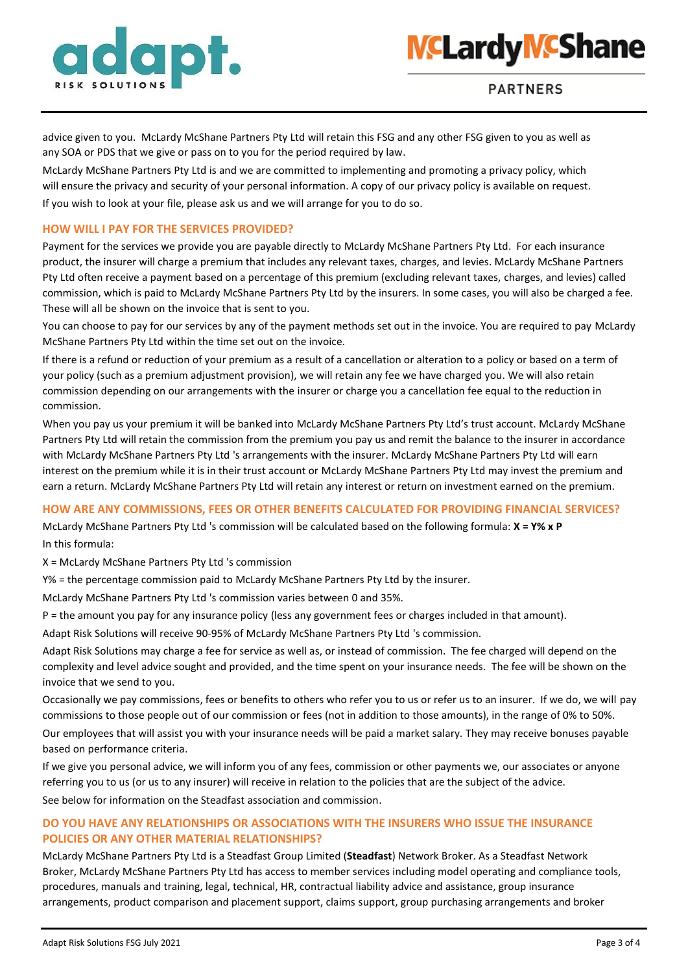



advice given to you. McLardy McShane Partners Pty Ltd will retain this FSG and any other FSG given to you as well as any SOA or PDS that we give or pass on to you for the period required by law.

McLardy McShane Partners Pty Ltd is and we are committed to implementing and promoting a privacy policy, which will ensure the privacy and security of your personal information. A copy of our privacy policy is available on request. If you wish to look at your file, please ask us and we will arrange for you to do so.

#### **HOW WILL I PAY FOR THE SERVICES PROVIDED?**

Payment for the services we provide you are payable directly to McLardy McShane Partners Pty Ltd. For each insurance product, the insurer will charge a premium that includes any relevant taxes, charges, and levies. McLardy McShane Partners Pty Ltd often receive a payment based on a percentage of this premium (excluding relevant taxes, charges, and levies) called commission, which is paid to McLardy McShane Partners Pty Ltd by the insurers. In some cases, you will also be charged a fee. These will all be shown on the invoice that is sent to you.

You can choose to pay for our services by any of the payment methods set out in the invoice. You are required to pay McLardy McShane Partners Pty Ltd within the time set out on the invoice.

If there is a refund or reduction of your premium as a result of a cancellation or alteration to a policy or based on a term of your policy (such as a premium adjustment provision), we will retain any fee we have charged you. We will also retain commission depending on our arrangements with the insurer or charge you a cancellation fee equal to the reduction in commission.

When you pay us your premium it will be banked into McLardy McShane Partners Pty Ltd's trust account. McLardy McShane Partners Pty Ltd will retain the commission from the premium you pay us and remit the balance to the insurer in accordance with McLardy McShane Partners Pty Ltd 's arrangements with the insurer. McLardy McShane Partners Pty Ltd will earn interest on the premium while it is in their trust account or McLardy McShane Partners Pty Ltd may invest the premium and earn a return. McLardy McShane Partners Pty Ltd will retain any interest or return on investment earned on the premium.

## **HOW ARE ANY COMMISSIONS, FEES OR OTHER BENEFITS CALCULATED FOR PROVIDING FINANCIAL SERVICES?**

McLardy McShane Partners Pty Ltd 's commission will be calculated based on the following formula: **X = Y% x P**  In this formula:

X = McLardy McShane Partners Pty Ltd 's commission

Y% = the percentage commission paid to McLardy McShane Partners Pty Ltd by the insurer.

McLardy McShane Partners Pty Ltd 's commission varies between 0 and 35%.

P = the amount you pay for any insurance policy (less any government fees or charges included in that amount).

Adapt Risk Solutions will receive 90-95% of McLardy McShane Partners Pty Ltd 's commission.

Adapt Risk Solutions may charge a fee for service as well as, or instead of commission. The fee charged will depend on the complexity and level advice sought and provided, and the time spent on your insurance needs. The fee will be shown on the invoice that we send to you.

Occasionally we pay commissions, fees or benefits to others who refer you to us or refer us to an insurer. If we do, we will pay commissions to those people out of our commission or fees (not in addition to those amounts), in the range of 0% to 50%.

Our employees that will assist you with your insurance needs will be paid a market salary. They may receive bonuses payable based on performance criteria.

If we give you personal advice, we will inform you of any fees, commission or other payments we, our associates or anyone referring you to us (or us to any insurer) will receive in relation to the policies that are the subject of the advice.

See below for information on the Steadfast association and commission.

# **DO YOU HAVE ANY RELATIONSHIPS OR ASSOCIATIONS WITH THE INSURERS WHO ISSUE THE INSURANCE POLICIES OR ANY OTHER MATERIAL RELATIONSHIPS?**

McLardy McShane Partners Pty Ltd is a Steadfast Group Limited (**Steadfast**) Network Broker. As a Steadfast Network Broker, McLardy McShane Partners Pty Ltd has access to member services including model operating and compliance tools, procedures, manuals and training, legal, technical, HR, contractual liability advice and assistance, group insurance arrangements, product comparison and placement support, claims support, group purchasing arrangements and broker